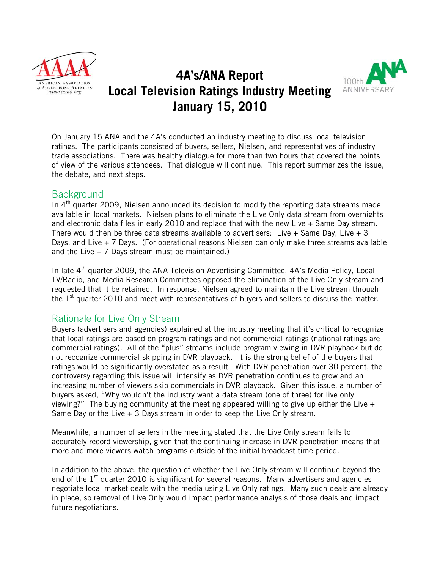

# **4A's/ANA Report Local Television Ratings Industry Meeting January 15, 2010**



On January 15 ANA and the 4A's conducted an industry meeting to discuss local television ratings. The participants consisted of buyers, sellers, Nielsen, and representatives of industry trade associations. There was healthy dialogue for more than two hours that covered the points of view of the various attendees. That dialogue will continue. This report summarizes the issue, the debate, and next steps.

#### Background

In  $4<sup>th</sup>$  quarter 2009, Nielsen announced its decision to modify the reporting data streams made available in local markets. Nielsen plans to eliminate the Live Only data stream from overnights and electronic data files in early 2010 and replace that with the new Live + Same Day stream. There would then be three data streams available to advertisers: Live + Same Day, Live + 3 Days, and Live  $+$  7 Days. (For operational reasons Nielsen can only make three streams available and the Live  $+ 7$  Days stream must be maintained.)

In late  $4<sup>th</sup>$  quarter 2009, the ANA Television Advertising Committee, 4A's Media Policy, Local TV/Radio, and Media Research Committees opposed the elimination of the Live Only stream and requested that it be retained. In response, Nielsen agreed to maintain the Live stream through the  $1<sup>st</sup>$  quarter 2010 and meet with representatives of buyers and sellers to discuss the matter.

### Rationale for Live Only Stream

Buyers (advertisers and agencies) explained at the industry meeting that it's critical to recognize that local ratings are based on program ratings and not commercial ratings (national ratings are commercial ratings). All of the "plus" streams include program viewing in DVR playback but do not recognize commercial skipping in DVR playback. It is the strong belief of the buyers that ratings would be significantly overstated as a result. With DVR penetration over 30 percent, the controversy regarding this issue will intensify as DVR penetration continues to grow and an increasing number of viewers skip commercials in DVR playback. Given this issue, a number of buyers asked, "Why wouldn't the industry want a data stream (one of three) for live only viewing?" The buying community at the meeting appeared willing to give up either the Live  $+$ Same Day or the Live + 3 Days stream in order to keep the Live Only stream.

Meanwhile, a number of sellers in the meeting stated that the Live Only stream fails to accurately record viewership, given that the continuing increase in DVR penetration means that more and more viewers watch programs outside of the initial broadcast time period.

In addition to the above, the question of whether the Live Only stream will continue beyond the end of the  $1<sup>st</sup>$  quarter 2010 is significant for several reasons. Many advertisers and agencies negotiate local market deals with the media using Live Only ratings. Many such deals are already in place, so removal of Live Only would impact performance analysis of those deals and impact future negotiations.